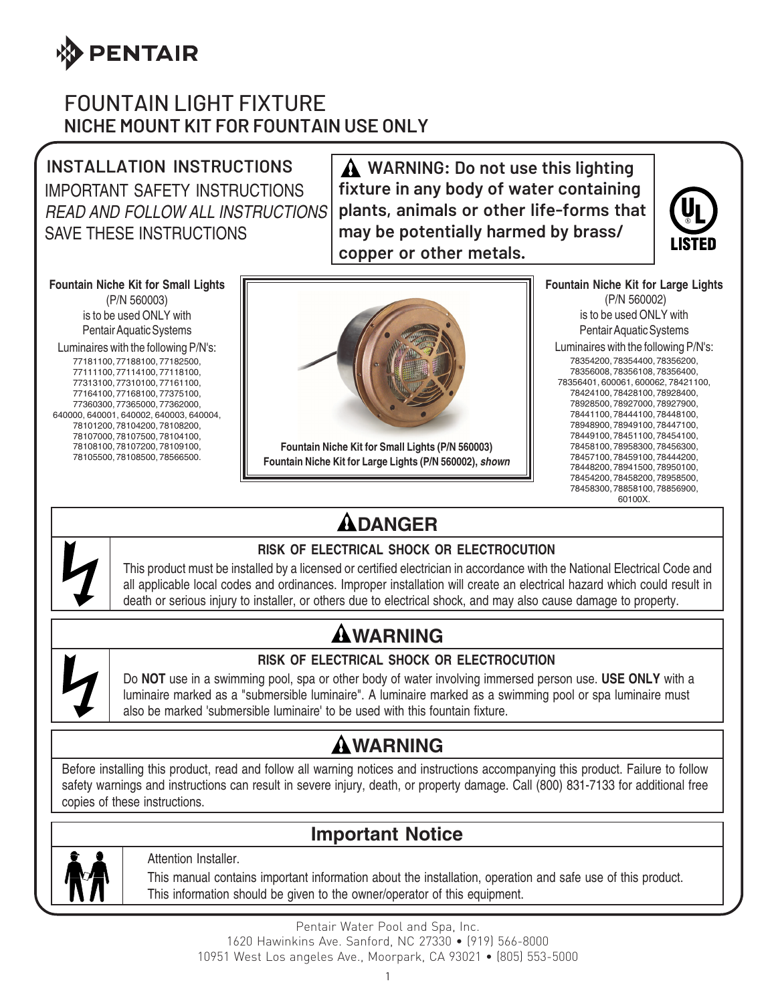

### FOUNTAIN LIGHT FIXTURE **NICHE MOUNT KIT FOR FOUNTAIN USE ONLY**

**INSTALLATION INSTRUCTIONS** IMPORTANT SAFETY INSTRUCTIONS READ AND FOLLOW ALL INSTRUCTIONS SAVE THESE INSTRUCTIONS

 **WARNING: Do not use this lighting fixture in any body of water containing plants, animals or other life-forms that may be potentially harmed by brass/ copper or other metals.**



#### **Fountain Niche Kit for Small Lights**

(P/N 560003) is to be used ONLY with Pentair Aquatic Systems

Luminaires with the following P/N's:

77181100, 77188100, 77182500, 77111100, 77114100, 77118100, 77313100, 77310100, 77161100, 77164100, 77168100, 77375100, 77360300, 77365000, 77362000, 640000, 640001, 640002, 640003, 640004, 78101200, 78104200, 78108200, 78107000, 78107500, 78104100, 78108100, 78107200, 78109100, 78105500, 78108500, 78566500.



**Fountain Niche Kit for Small Lights (P/N 560003) Fountain Niche Kit for Large Lights (P/N 560002), shown** **Fountain Niche Kit for Large Lights** (P/N 560002) is to be used ONLY with Pentair Aquatic Systems

Luminaires with the following P/N's: 78354200, 78354400, 78356200, 78356008, 78356108, 78356400, 78356401, 600061, 600062, 78421100, 78424100, 78428100, 78928400, 78928500, 78927000, 78927900, 78441100, 78444100, 78448100, 78948900, 78949100, 78447100, 78449100, 78451100, 78454100, 78458100, 78958300, 78456300, 78457100, 78459100, 78444200, 78448200, 78941500, 78950100, 78454200, 78458200, 78958500, 78458300, 78858100, 78856900, 60100X.

# **DANGER**

#### **RISK OF ELECTRICAL SHOCK OR ELECTROCUTION**

This product must be installed by a licensed or certified electrician in accordance with the National Electrical Code and all applicable local codes and ordinances. Improper installation will create an electrical hazard which could result in death or serious injury to installer, or others due to electrical shock, and may also cause damage to property.

# **WARNING**



#### **RISK OF ELECTRICAL SHOCK OR ELECTROCUTION**

Do **NOT** use in a swimming pool, spa or other body of water involving immersed person use. **USE ONLY** with a luminaire marked as a "submersible luminaire". A luminaire marked as a swimming pool or spa luminaire must also be marked 'submersible luminaire' to be used with this fountain fixture.

# **WARNING**

Before installing this product, read and follow all warning notices and instructions accompanying this product. Failure to follow safety warnings and instructions can result in severe injury, death, or property damage. Call (800) 831-7133 for additional free copies of these instructions.

### **Important Notice**



Attention Installer.

This manual contains important information about the installation, operation and safe use of this product. This information should be given to the owner/operator of this equipment.

Pentair Water Pool and Spa, Inc. 1620 Hawinkins Ave. Sanford, NC 27330 • (919) 566-8000 10951 West Los angeles Ave., Moorpark, CA 93021 • (805) 553-5000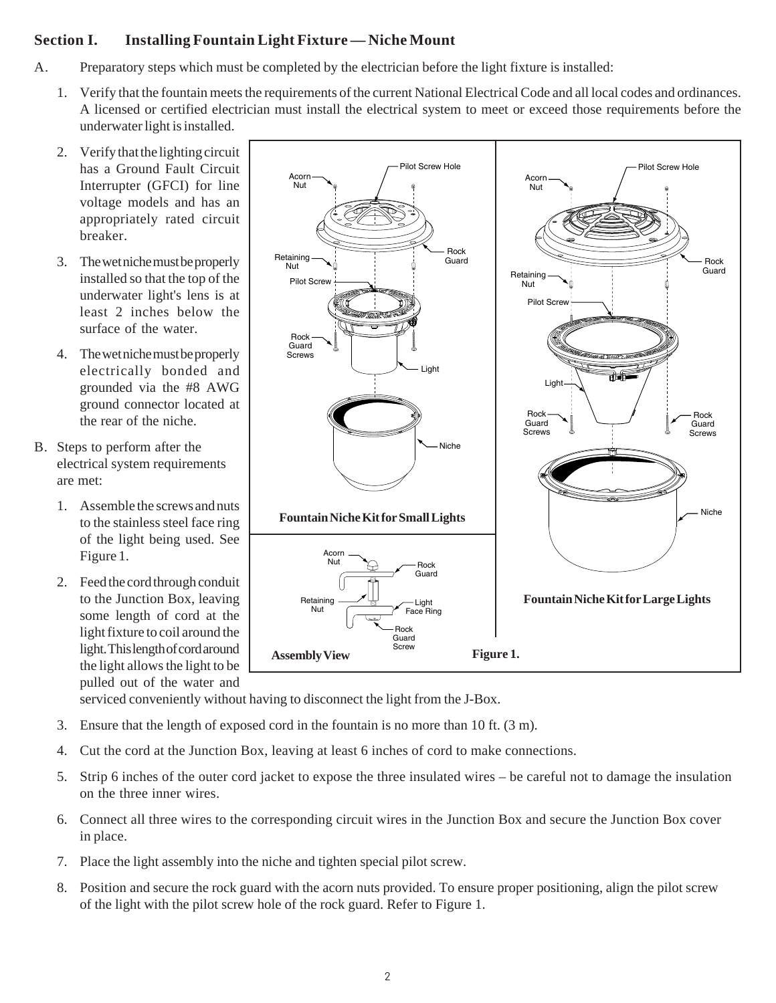### **Section I. Installing Fountain Light Fixture — Niche Mount**

- A. Preparatory steps which must be completed by the electrician before the light fixture is installed:
	- 1. Verify that the fountain meets the requirements of the current National Electrical Code and all local codes and ordinances. A licensed or certified electrician must install the electrical system to meet or exceed those requirements before the underwater light is installed.
	- 2. Verify that the lighting circuit has a Ground Fault Circuit Interrupter (GFCI) for line voltage models and has an appropriately rated circuit breaker.
	- 3. The wet niche must be properly installed so that the top of the underwater light's lens is at least 2 inches below the surface of the water.
	- 4. The wet niche must be properly electrically bonded and grounded via the #8 AWG ground connector located at the rear of the niche.
- B. Steps to perform after the electrical system requirements are met:
	- 1. Assemble the screws and nuts to the stainless steel face ring of the light being used. See Figure 1.
	- 2. Feed the cord through conduit to the Junction Box, leaving some length of cord at the light fixture to coil around the light. This length of cord around the light allows the light to be pulled out of the water and



serviced conveniently without having to disconnect the light from the J-Box.

- 3. Ensure that the length of exposed cord in the fountain is no more than 10 ft. (3 m).
- 4. Cut the cord at the Junction Box, leaving at least 6 inches of cord to make connections.
- 5. Strip 6 inches of the outer cord jacket to expose the three insulated wires be careful not to damage the insulation on the three inner wires.
- 6. Connect all three wires to the corresponding circuit wires in the Junction Box and secure the Junction Box cover in place.
- 7. Place the light assembly into the niche and tighten special pilot screw.
- 8. Position and secure the rock guard with the acorn nuts provided. To ensure proper positioning, align the pilot screw of the light with the pilot screw hole of the rock guard. Refer to Figure 1.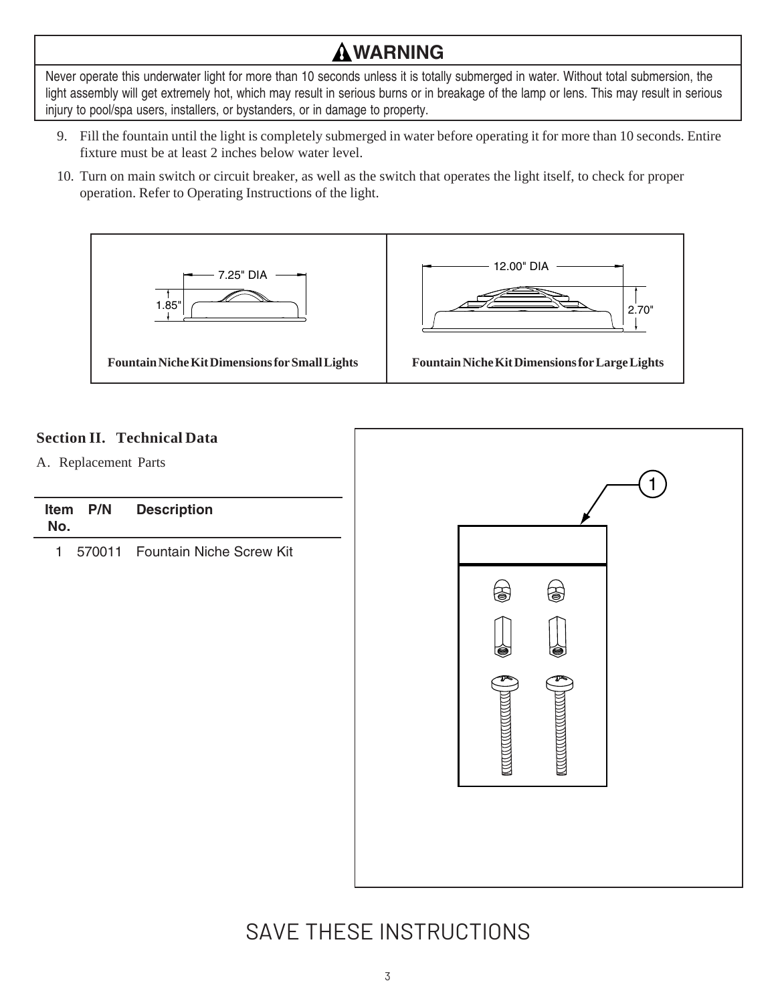# **WARNING**

Never operate this underwater light for more than 10 seconds unless it is totally submerged in water. Without total submersion, the light assembly will get extremely hot, which may result in serious burns or in breakage of the lamp or lens. This may result in serious injury to pool/spa users, installers, or bystanders, or in damage to property.

- 9. Fill the fountain until the light is completely submerged in water before operating it for more than 10 seconds. Entire fixture must be at least 2 inches below water level.
- 10. Turn on main switch or circuit breaker, as well as the switch that operates the light itself, to check for proper operation. Refer to Operating Instructions of the light.



#### **Section II. Technical Data**

A. Replacement Parts

| Item P/N | <b>Description</b> |
|----------|--------------------|
| No.      |                    |

1 570011 Fountain Niche Screw Kit



### SAVE THESE INSTRUCTIONS